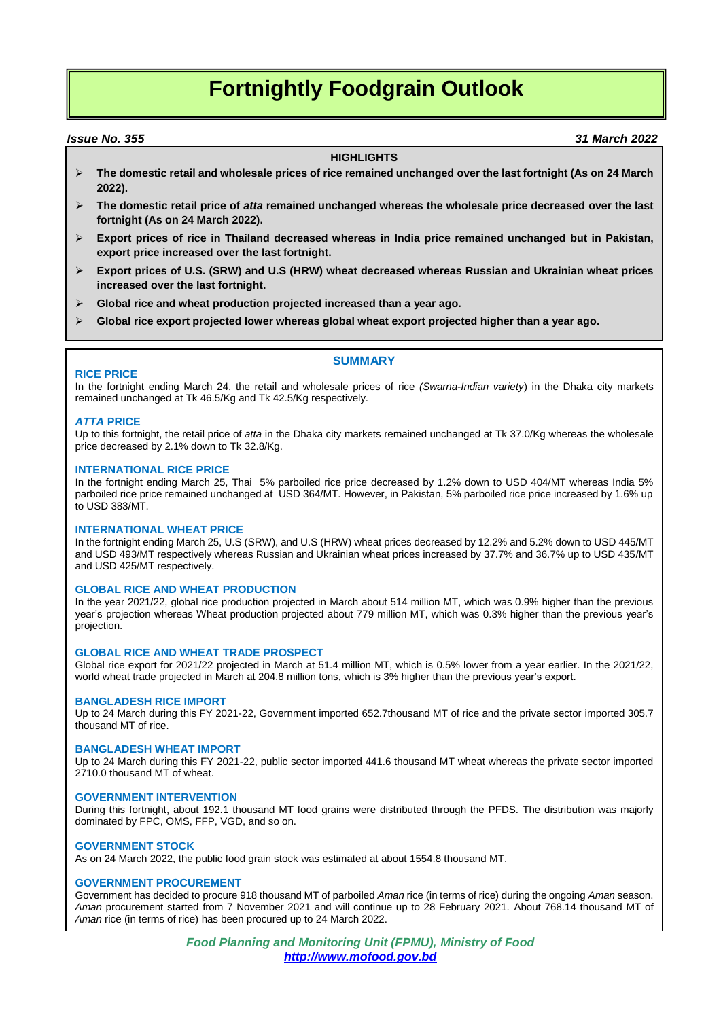# **Fortnightly Foodgrain Outlook**

## *Issue No. 355 31 March 2022*

## **HIGHLIGHTS**

- **The domestic retail and wholesale prices of rice remained unchanged over the last fortnight (As on 24 March 2022).**
- **The domestic retail price of** *atta* **remained unchanged whereas the wholesale price decreased over the last fortnight (As on 24 March 2022).**
- **Export prices of rice in Thailand decreased whereas in India price remained unchanged but in Pakistan, export price increased over the last fortnight.**
- **Export prices of U.S. (SRW) and U.S (HRW) wheat decreased whereas Russian and Ukrainian wheat prices increased over the last fortnight.**
- **Global rice and wheat production projected increased than a year ago.**
- **Global rice export projected lower whereas global wheat export projected higher than a year ago.**

## **RICE PRICE**

In the fortnight ending March 24, the retail and wholesale prices of rice *(Swarna-Indian variety*) in the Dhaka city markets remained unchanged at Tk 46.5/Kg and Tk 42.5/Kg respectively.

**SUMMARY**

## *ATTA* **PRICE**

Up to this fortnight, the retail price of *atta* in the Dhaka city markets remained unchanged at Tk 37.0/Kg whereas the wholesale price decreased by 2.1% down to Tk 32.8/Kg.

### **INTERNATIONAL RICE PRICE**

In the fortnight ending March 25, Thai 5% parboiled rice price decreased by 1.2% down to USD 404/MT whereas India 5% parboiled rice price remained unchanged at USD 364/MT. However, in Pakistan, 5% parboiled rice price increased by 1.6% up to USD 383/MT.

### **INTERNATIONAL WHEAT PRICE**

In the fortnight ending March 25, U.S (SRW), and U.S (HRW) wheat prices decreased by 12.2% and 5.2% down to USD 445/MT and USD 493/MT respectively whereas Russian and Ukrainian wheat prices increased by 37.7% and 36.7% up to USD 435/MT and USD 425/MT respectively.

## **GLOBAL RICE AND WHEAT PRODUCTION**

In the year 2021/22, global rice production projected in March about 514 million MT, which was 0.9% higher than the previous year's projection whereas Wheat production projected about 779 million MT, which was 0.3% higher than the previous year's projection.

### **GLOBAL RICE AND WHEAT TRADE PROSPECT**

Global rice export for 2021/22 projected in March at 51.4 million MT, which is 0.5% lower from a year earlier. In the 2021/22, world wheat trade projected in March at 204.8 million tons, which is 3% higher than the previous year's export.

### **BANGLADESH RICE IMPORT**

Up to 24 March during this FY 2021-22, Government imported 652.7thousand MT of rice and the private sector imported 305.7 thousand MT of rice.

## **BANGLADESH WHEAT IMPORT**

Up to 24 March during this FY 2021-22, public sector imported 441.6 thousand MT wheat whereas the private sector imported 2710.0 thousand MT of wheat.

## **GOVERNMENT INTERVENTION**

During this fortnight, about 192.1 thousand MT food grains were distributed through the PFDS. The distribution was majorly dominated by FPC, OMS, FFP, VGD, and so on.

## **GOVERNMENT STOCK**

As on 24 March 2022, the public food grain stock was estimated at about 1554.8 thousand MT.

## **GOVERNMENT PROCUREMENT**

Government has decided to procure 918 thousand MT of parboiled *Aman* rice (in terms of rice) during the ongoing *Aman* season. *Aman* procurement started from 7 November 2021 and will continue up to 28 February 2021. About 768.14 thousand MT of *Aman* rice (in terms of rice) has been procured up to 24 March 2022.

> *Food Planning and Monitoring Unit (FPMU), Ministry of Food http://www.mofood.gov.bd*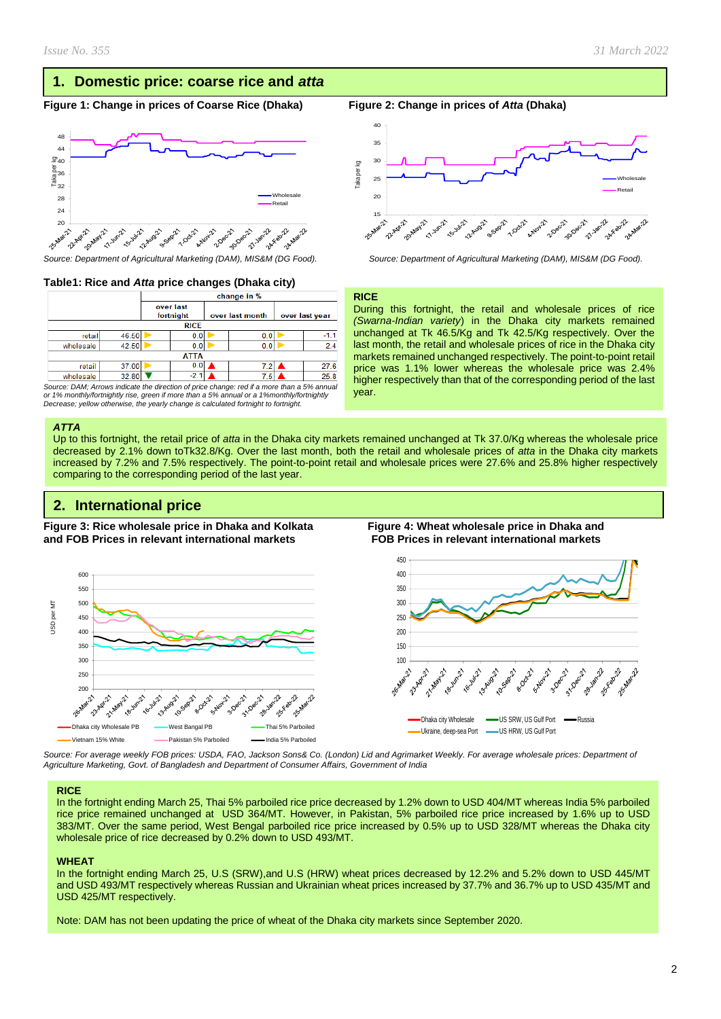## **1. Domestic price: coarse rice and** *atta*

## **Figure 1: Change in prices of Coarse Rice (Dhaka) Figure 2: Change in prices of** *Atta* **(Dhaka)**



## **Table1: Rice and** *Atta* **price changes (Dhaka city)**

|           |             | change in %            |        |                 |     |                |      |  |  |
|-----------|-------------|------------------------|--------|-----------------|-----|----------------|------|--|--|
|           |             | over last<br>fortnight |        | over last month |     | over last year |      |  |  |
|           | <b>RICE</b> |                        |        |                 |     |                |      |  |  |
| retail    | 46.50       |                        | 0.0    |                 | 0.0 |                |      |  |  |
| wholesale | 42.50       |                        | 0.0    | 0.0             |     |                | 2.4  |  |  |
|           | <b>ATTA</b> |                        |        |                 |     |                |      |  |  |
| retail    | 37.00       |                        | 0.0    |                 | 7.2 |                | 27.6 |  |  |
| wholesale | 32.80       |                        | $-2.1$ |                 | 7.5 |                | 25.8 |  |  |

*Source: DAM; Arrows indicate the direction of price change: red if a more than a 5% annual or 1% monthly/fortnightly rise, green if more than a 5% annual or a 1%monthly/fortnightly Decrease; yellow otherwise, the yearly change is calculated fortnight to fortnight.*

#### *ATTA*

Up to this fortnight, the retail price of *atta* in the Dhaka city markets remained unchanged at Tk 37.0/Kg whereas the wholesale price decreased by 2.1% down toTk32.8/Kg. Over the last month, both the retail and wholesale prices of *atta* in the Dhaka city markets increased by 7.2% and 7.5% respectively. The point-to-point retail and wholesale prices were 27.6% and 25.8% higher respectively comparing to the corresponding period of the last year.

## **2. International price**

**Figure 3: Rice wholesale price in Dhaka and Kolkata Figure 4: Wheat wholesale price in Dhaka and and FOB Prices in relevant international markets FOB Prices in relevant international markets** 



*Source: For average weekly FOB prices: USDA, FAO, Jackson Sons& Co. (London) Lid and Agrimarket Weekly. For average wholesale prices: Department of Agriculture Marketing, Govt. of Bangladesh and Department of Consumer Affairs, Government of India*

#### **RICE**

In the fortnight ending March 25, Thai 5% parboiled rice price decreased by 1.2% down to USD 404/MT whereas India 5% parboiled rice price remained unchanged at USD 364/MT. However, in Pakistan, 5% parboiled rice price increased by 1.6% up to USD 383/MT. Over the same period, West Bengal parboiled rice price increased by 0.5% up to USD 328/MT whereas the Dhaka city wholesale price of rice decreased by 0.2% down to USD 493/MT.

### **WHEAT**

In the fortnight ending March 25, U.S (SRW),and U.S (HRW) wheat prices decreased by 12.2% and 5.2% down to USD 445/MT and USD 493/MT respectively whereas Russian and Ukrainian wheat prices increased by 37.7% and 36.7% up to USD 435/MT and USD 425/MT respectively.

Note: DAM has not been updating the price of wheat of the Dhaka city markets since September 2020.



*Source: Department of Agricultural Marketing (DAM), MIS&M (DG Food). Source: Department of Agricultural Marketing (DAM), MIS&M (DG Food).*

#### **RICE**

During this fortnight, the retail and wholesale prices of rice *(Swarna-Indian variety*) in the Dhaka city markets remained unchanged at Tk 46.5/Kg and Tk 42.5/Kg respectively. Over the last month, the retail and wholesale prices of rice in the Dhaka city markets remained unchanged respectively. The point-to-point retail price was 1.1% lower whereas the wholesale price was 2.4% higher respectively than that of the corresponding period of the last year.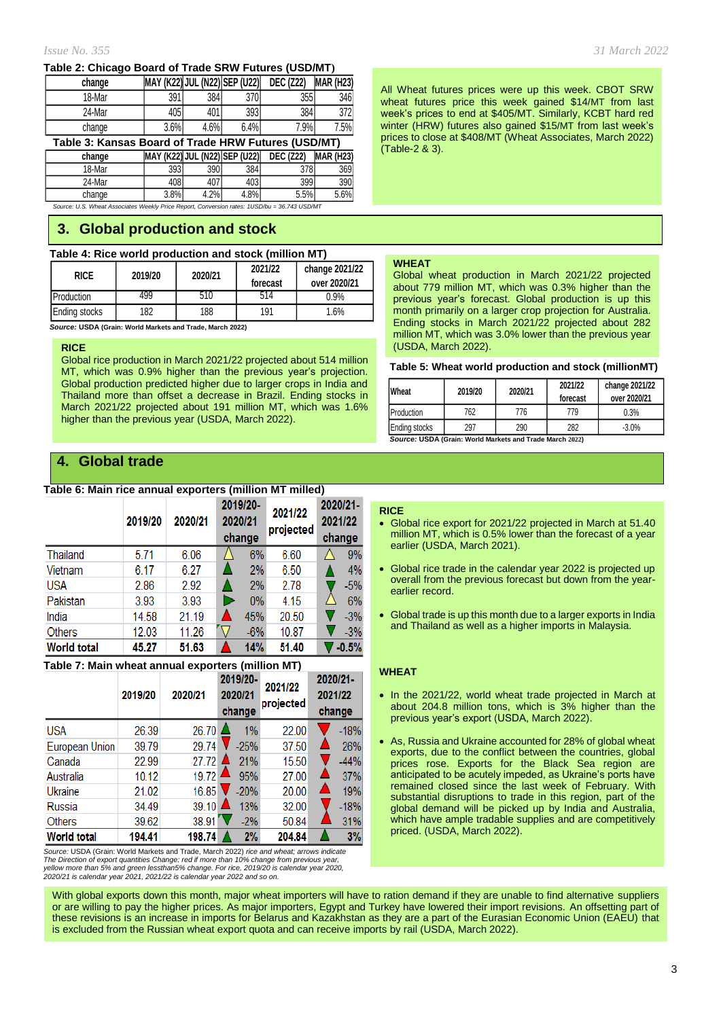## **Table 2: Chicago Board of Trade SRW Futures (USD/MT)**

| change                                              |      |      | MAY (K22) JUL (N22) SEP (U22) | <b>DEC (Z22)</b> | <b>MAR (H23)</b> |  |
|-----------------------------------------------------|------|------|-------------------------------|------------------|------------------|--|
| 18-Mar                                              | 391  | 384  | 370                           | 355              | 346              |  |
| 24-Mar                                              | 405  | 401  | 393                           | 384              | 3721             |  |
| change                                              | 3.6% | 4.6% | 6.4%                          | 7.9%             | 7.5%             |  |
| Table 3: Kansas Board of Trade HRW Futures (USD/MT) |      |      |                               |                  |                  |  |

**change MAY (K22) JUL (N22) SEP (U22) DEC (Z22) MAR (H23)** 18-Mar | 393| 390| 384| 378| 369| 24-Mar I 408I 407I 403I 399I 390I change | 3.8% 4.2% 4.8% 5.5% 5.6%

*Source: U.S. Wheat Associates Weekly Price Report, Conversion rates: 1USD/bu = 36.743 USD/MT*

## **3. Global production and stock**

## **Table 4: Rice world production and stock (million MT)**

| <b>RICE</b>   | 2019/20 | 2020/21 | 2021/22<br>forecast | change 2021/22<br>over 2020/21 |
|---------------|---------|---------|---------------------|--------------------------------|
| Production    | 499     | 510     | 514                 | 0.9%                           |
| Ending stocks | 182     | 188     | 191                 | 1.6%                           |

 *Source:* **USDA (Grain: World Markets and Trade, March 2022)**

## **RICE**

Global rice production in March 2021/22 projected about 514 million MT, which was 0.9% higher than the previous year's projection. Global production predicted higher due to larger crops in India and Thailand more than offset a decrease in Brazil. Ending stocks in March 2021/22 projected about 191 million MT, which was 1.6% higher than the previous year (USDA, March 2022).

## **4. Global trade**

## **Table 6: Main rice annual exporters (million MT milled)**

|                    | 2019/20 | 2020/21 | 2019/20-<br>2020/21<br>change | 2021/22<br>projected | 2020/21-<br>2021/22<br>change |
|--------------------|---------|---------|-------------------------------|----------------------|-------------------------------|
| Thailand           | 5.71    | 6.06    | 6%                            | 6.60                 | 9%                            |
| Vietnam            | 6.17    | 6.27    | 2%                            | 6.50                 | 4%                            |
| <b>USA</b>         | 2.86    | 2.92    | 2%                            | 2.78                 | $-5%$                         |
| Pakistan           | 3.93    | 3.93    | 0%                            | 4.15                 | 6%                            |
| India              | 14.58   | 21.19   | 45%                           | 20.50                | $-3%$                         |
| <b>Others</b>      | 12.03   | 11.26   | $-6%$                         | 10.87                | $-3%$                         |
| <b>World total</b> | 45.27   | 51.63   | 14%                           | 51.40                | $-0.5%$                       |

## **Table 7: Main wheat annual exporters (million MT)**

|                    | 2019/20 | 2020/21 | 2019/20-<br>2020/21<br>change | 2021/22<br>projected | 2020/21-<br>2021/22<br>change |
|--------------------|---------|---------|-------------------------------|----------------------|-------------------------------|
| <b>USA</b>         | 26.39   | 26.70   | 1%                            | 22.00                | $-18%$                        |
| European Union     | 39.79   | 29.74   | $-25%$                        | 37.50                | 26%                           |
| Canada             | 22.99   | 27.72   | 21%                           | 15.50                | $-44%$                        |
| Australia          | 10.12   | 19.72   | 95%                           | 27.00                | 37%                           |
| Ukraine            | 21.02   | 16.85   | $-20%$                        | 20.00                | 19%                           |
| Russia             | 34.49   | 39.10   | 13%                           | 32.00                | $-18%$                        |
| <b>Others</b>      | 39.62   | 38.91   | $-2\%$                        | 50.84                | 31%                           |
| <b>World total</b> | 194.41  | 198.74  | 2%                            | 204.84               | 3%                            |

*Source:* USDA (Grain: World Markets and Trade, March 2022) *rice and wheat; arrows indicate The Direction of export quantities Change: red if more than 10% change from previous year,* yellow more than 5% and green lessthan5% change. For rice, 2019/20 is calendar year 2020,<br>2020/21 is calendar year 2021, 2021/22 is calendar year 2022 and so on. All Wheat futures prices were up this week. CBOT SRW wheat futures price this week gained \$14/MT from last week's prices to end at \$405/MT. Similarly, KCBT hard red winter (HRW) futures also gained \$15/MT from last week's prices to close at \$408/MT (Wheat Associates, March 2022) (Table-2 & 3).

## **WHEAT**

Global wheat production in March 2021/22 projected about 779 million MT, which was 0.3% higher than the previous year's forecast. Global production is up this month primarily on a larger crop projection for Australia. Ending stocks in March 2021/22 projected about 282 million MT, which was 3.0% lower than the previous year (USDA, March 2022).

### **Table 5: Wheat world production and stock (millionMT)**

| Wheat                                                    | 2019/20 | 2020/21 | 2021/22<br>forecast | change 2021/22<br>over 2020/21 |  |  |  |
|----------------------------------------------------------|---------|---------|---------------------|--------------------------------|--|--|--|
| Production                                               | 762     | 776     | 779                 | 0.3%                           |  |  |  |
| <b>Ending stocks</b>                                     | 297     | 290     | 282                 | $-3.0%$                        |  |  |  |
| Source: USDA (Grain: World Markets and Trade March 2022) |         |         |                     |                                |  |  |  |

## **RICE**

- Global rice export for 2021/22 projected in March at 51.40 million MT, which is 0.5% lower than the forecast of a year earlier (USDA, March 2021).
- Global rice trade in the calendar year 2022 is projected up overall from the previous forecast but down from the yearearlier record.
- Global trade is up this month due to a larger exports in India and Thailand as well as a higher imports in Malaysia.

## **WHEAT**

- In the 2021/22, world wheat trade projected in March at about 204.8 million tons, which is 3% higher than the previous year's export (USDA, March 2022).
- As, Russia and Ukraine accounted for 28% of global wheat exports, due to the conflict between the countries, global prices rose. Exports for the Black Sea region are anticipated to be acutely impeded, as Ukraine's ports have remained closed since the last week of February. With substantial disruptions to trade in this region, part of the global demand will be picked up by India and Australia, which have ample tradable supplies and are competitively priced. (USDA, March 2022).

With global exports down this month, major wheat importers will have to ration demand if they are unable to find alternative suppliers or are willing to pay the higher prices. As major importers, Egypt and Turkey have lowered their import revisions. An offsetting part of these revisions is an increase in imports for Belarus and Kazakhstan as they are a part of the Eurasian Economic Union (EAEU) that is excluded from the Russian wheat export quota and can receive imports by rail (USDA, March 2022).